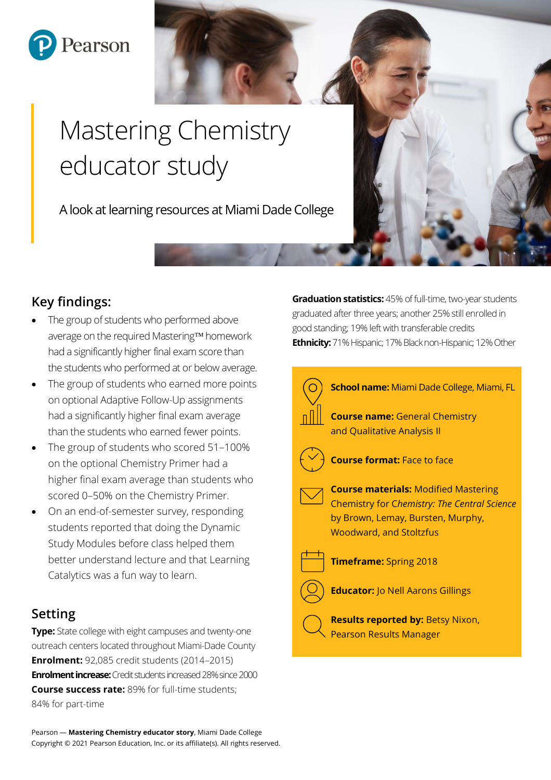

# Mastering Chemistry educator study

A look at learning resources at Miami Dade College

# **Key findings:**

- The group of students who performed above average on the required Mastering<sup>TM</sup> homework had a significantly higher final exam score than the students who performed at or below average.
- The group of students who earned more points on optional Adaptive Follow-Up assignments had a significantly higher final exam average than the students who earned fewer points.
- The group of students who scored 51–100% on the optional Chemistry Primer had a higher final exam average than students who scored 0–50% on the Chemistry Primer.
- On an end-of-semester survey, responding students reported that doing the Dynamic Study Modules before class helped them better understand lecture and that Learning Catalytics was a fun way to learn.

# **Setting**

**Type:** State college with eight campuses and twenty-one outreach centers located throughout Miami-Dade County **Enrolment:** 92,085 credit students (2014–2015) **Enrolment increase:**Credit students increased 28% since 2000 **Course success rate:** 89% for full-time students; 84% for part-time

**Graduation statistics:** 45% of full-time, two-year students graduated after three years; another 25% still enrolled in good standing; 19% left with transferable credits **Ethnicity:**71% Hispanic; 17% Black non-Hispanic; 12% Other

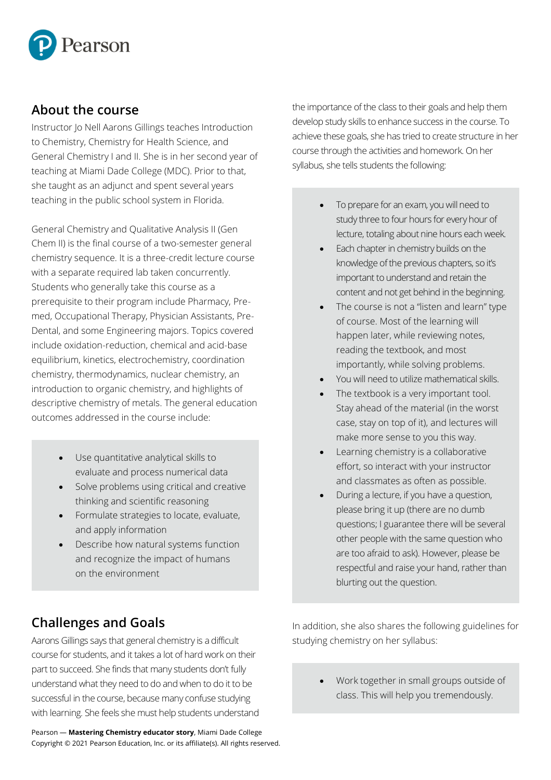

## **About the course**

Instructor Jo Nell Aarons Gillings teaches Introduction to Chemistry, Chemistry for Health Science, and General Chemistry I and II. She is in her second year of teaching at Miami Dade College (MDC). Prior to that, she taught as an adjunct and spent several years teaching in the public school system in Florida.

General Chemistry and Qualitative Analysis II (Gen Chem II) is the final course of a two-semester general chemistry sequence. It is a three-credit lecture course with a separate required lab taken concurrently. Students who generally take this course as a prerequisite to their program include Pharmacy, Premed, Occupational Therapy, Physician Assistants, Pre-Dental, and some Engineering majors. Topics covered include oxidation-reduction, chemical and acid-base equilibrium, kinetics, electrochemistry, coordination chemistry, thermodynamics, nuclear chemistry, an introduction to organic chemistry, and highlights of descriptive chemistry of metals. The general education outcomes addressed in the course include:

- Use quantitative analytical skills to evaluate and process numerical data
- Solve problems using critical and creative thinking and scientific reasoning
- Formulate strategies to locate, evaluate, and apply information
- Describe how natural systems function and recognize the impact of humans on the environment

the importance of the class to their goals and help them develop study skills to enhance success in the course. To achieve these goals, she has tried to create structure in her course through the activities and homework. On her syllabus, she tells students the following:

- To prepare for an exam, you will need to study three to four hours for every hour of lecture, totaling about nine hours each week.
- Each chapter in chemistry builds on the knowledge of the previous chapters, so it's important to understand and retain the content and not get behind in the beginning.
- The course is not a "listen and learn" type of course. Most of the learning will happen later, while reviewing notes, reading the textbook, and most importantly, while solving problems.
- You will need to utilize mathematical skills.
- The textbook is a very important tool. Stay ahead of the material (in the worst case, stay on top of it), and lectures will make more sense to you this way.
- Learning chemistry is a collaborative effort, so interact with your instructor and classmates as often as possible.
- During a lecture, if you have a question, please bring it up (there are no dumb questions; I guarantee there will be several other people with the same question who are too afraid to ask). However, please be respectful and raise your hand, rather than blurting out the question.

# **Challenges and Goals**

Aarons Gillings says that general chemistry is a difficult course for students, and it takes a lot of hard work on their part to succeed. She finds that many students don't fully understand what they need to do and when to do it to be successful in the course, because many confuse studying with learning. She feels she must help students understand

Pearson — **Mastering Chemistry educator story**, Miami Dade College Copyright © 2021 Pearson Education, Inc. or its affiliate(s). All rights reserved. In addition, she also shares the following guidelines for studying chemistry on her syllabus:

> • Work together in small groups outside of class. This will help you tremendously.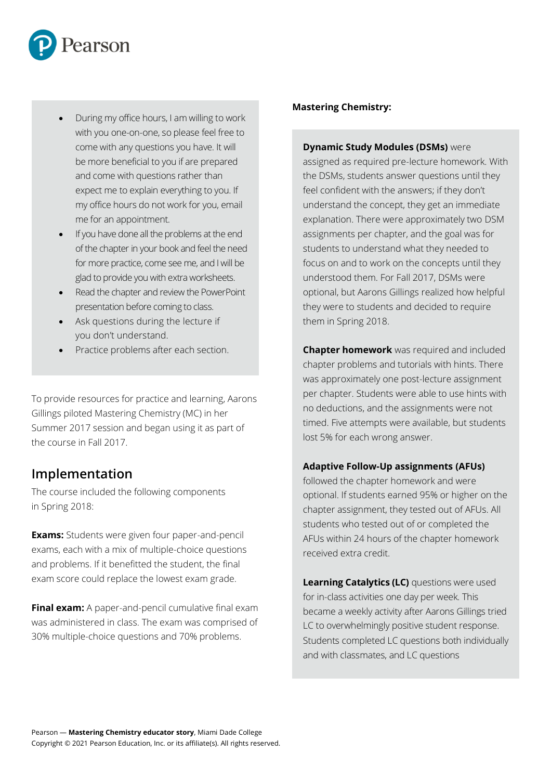

- During my office hours, I am willing to work with you one-on-one, so please feel free to come with any questions you have. It will be more beneficial to you if are prepared and come with questions rather than expect me to explain everything to you. If my office hours do not work for you, email me for an appointment.
- If you have done all the problems at the end of the chapter in your book and feel the need for more practice, come see me, and I will be glad to provide you with extra worksheets.
- Read the chapter and review the PowerPoint presentation before coming to class.
- Ask questions during the lecture if you don't understand.
- Practice problems after each section.

To provide resources for practice and learning, Aarons Gillings piloted Mastering Chemistry (MC) in her Summer 2017 session and began using it as part of the course in Fall 2017.

## **Implementation**

The course included the following components in Spring 2018:

**Exams:** Students were given four paper-and-pencil exams, each with a mix of multiple-choice questions and problems. If it benefitted the student, the final exam score could replace the lowest exam grade.

**Final exam:** A paper-and-pencil cumulative final exam was administered in class. The exam was comprised of 30% multiple-choice questions and 70% problems.

#### **Mastering Chemistry:**

#### **Dynamic Study Modules (DSMs)** were

assigned as required pre-lecture homework. With the DSMs, students answer questions until they feel confident with the answers; if they don't understand the concept, they get an immediate explanation. There were approximately two DSM assignments per chapter, and the goal was for students to understand what they needed to focus on and to work on the concepts until they understood them. For Fall 2017, DSMs were optional, but Aarons Gillings realized how helpful they were to students and decided to require them in Spring 2018.

**Chapter homework** was required and included chapter problems and tutorials with hints. There was approximately one post-lecture assignment per chapter. Students were able to use hints with no deductions, and the assignments were not timed. Five attempts were available, but students lost 5% for each wrong answer.

#### **Adaptive Follow-Up assignments (AFUs)**

followed the chapter homework and were optional. If students earned 95% or higher on the chapter assignment, they tested out of AFUs. All students who tested out of or completed the AFUs within 24 hours of the chapter homework received extra credit.

**Learning Catalytics (LC)** questions were used for in-class activities one day per week. This became a weekly activity after Aarons Gillings tried LC to overwhelmingly positive student response. Students completed LC questions both individually and with classmates, and LC questions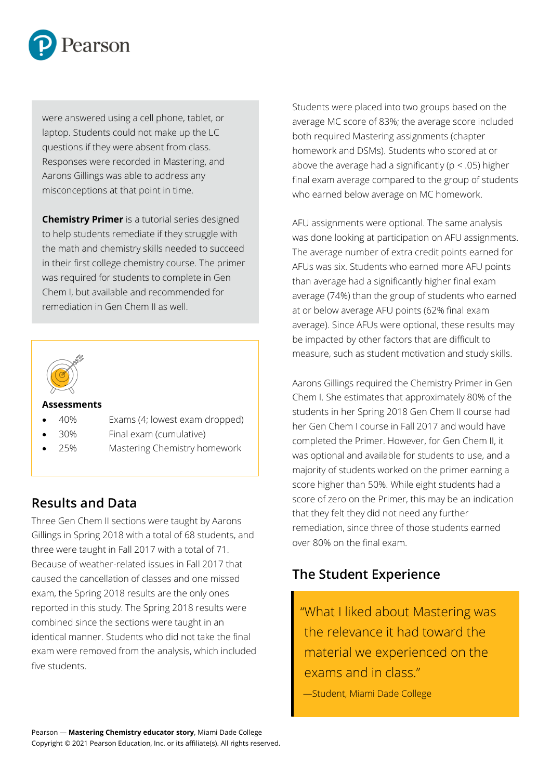

were answered using a cell phone, tablet, or laptop. Students could not make up the LC questions if they were absent from class. Responses were recorded in Mastering, and Aarons Gillings was able to address any misconceptions at that point in time.

**Chemistry Primer** is a tutorial series designed to help students remediate if they struggle with the math and chemistry skills needed to succeed in their first college chemistry course. The primer was required for students to complete in Gen Chem I, but available and recommended for remediation in Gen Chem II as well.



#### **Assessments**

- 40% Exams (4; lowest exam dropped)
- 30% Final exam (cumulative)
- 25% Mastering Chemistry homework

## **Results and Data**

Three Gen Chem II sections were taught by Aarons Gillings in Spring 2018 with a total of 68 students, and three were taught in Fall 2017 with a total of 71. Because of weather-related issues in Fall 2017 that caused the cancellation of classes and one missed exam, the Spring 2018 results are the only ones reported in this study. The Spring 2018 results were combined since the sections were taught in an identical manner. Students who did not take the final exam were removed from the analysis, which included five students.

Students were placed into two groups based on the average MC score of 83%; the average score included both required Mastering assignments (chapter homework and DSMs). Students who scored at or above the average had a significantly ( $p < .05$ ) higher final exam average compared to the group of students who earned below average on MC homework.

AFU assignments were optional. The same analysis was done looking at participation on AFU assignments. The average number of extra credit points earned for AFUs was six. Students who earned more AFU points than average had a significantly higher final exam average (74%) than the group of students who earned at or below average AFU points (62% final exam average). Since AFUs were optional, these results may be impacted by other factors that are difficult to measure, such as student motivation and study skills.

Aarons Gillings required the Chemistry Primer in Gen Chem I. She estimates that approximately 80% of the students in her Spring 2018 Gen Chem II course had her Gen Chem I course in Fall 2017 and would have completed the Primer. However, for Gen Chem II, it was optional and available for students to use, and a majority of students worked on the primer earning a score higher than 50%. While eight students had a score of zero on the Primer, this may be an indication that they felt they did not need any further remediation, since three of those students earned over 80% on the final exam.

# **The Student Experience**

"What I liked about Mastering was the relevance it had toward the material we experienced on the exams and in class."

—Student, Miami Dade College